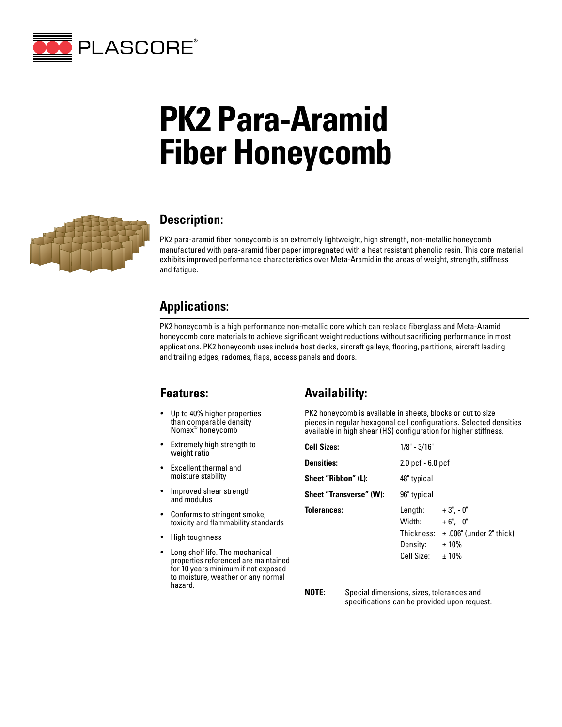

# **PK2 Para-Aramid Fiber Honeycomb**



#### **Description:**

PK2 para-aramid fiber honeycomb is an extremely lightweight, high strength, non-metallic honeycomb manufactured with para-aramid fiber paper impregnated with a heat resistant phenolic resin. This core material exhibits improved performance characteristics over Meta-Aramid in the areas of weight, strength, stiffness and fatigue.

### **Applications:**

PK2 honeycomb is a high performance non-metallic core which can replace fiberglass and Meta-Aramid honeycomb core materials to achieve significant weight reductions without sacrificing performance in most applications. PK2 honeycomb uses include boat decks, aircraft galleys, flooring, partitions, aircraft leading and trailing edges, radomes, flaps, access panels and doors.

#### **Features:**

- Up to 40% higher properties than comparable density Nomex® honeycomb
- Extremely high strength to weight ratio
- Excellent thermal and moisture stability
- Improved shear strength and modulus
- Conforms to stringent smoke, toxicity and flammability standards
- High toughness
- Long shelf life. The mechanical properties referenced are maintained for 10 years minimum if not exposed to moisture, weather or any normal hazard.

## **Availability:**

PK2 honeycomb is available in sheets, blocks or cut to size pieces in regular hexagonal cell configurations. Selected densities available in high shear (HS) configuration for higher stiffness.

| <b>Cell Sizes:</b>      | $1/8" - 3/16"$                                                           |                                                                 |  |  |  |  |
|-------------------------|--------------------------------------------------------------------------|-----------------------------------------------------------------|--|--|--|--|
| <b>Densities:</b>       | $2.0$ pcf $-6.0$ pcf                                                     |                                                                 |  |  |  |  |
| Sheet "Ribbon" (L):     | 48" typical                                                              |                                                                 |  |  |  |  |
| Sheet "Transverse" (W): | 96" typical                                                              |                                                                 |  |  |  |  |
| <b>Tolerances:</b>      | Length: $+3$ ", $-0$ "<br>Width:<br>Thickness:<br>Density:<br>Cell Size: | $+6$ ", - 0"<br>$\pm$ .006" (under 2" thick)<br>$±10\%$<br>±10% |  |  |  |  |

**NOTE:** Special dimensions, sizes, tolerances and specifications can be provided upon request.